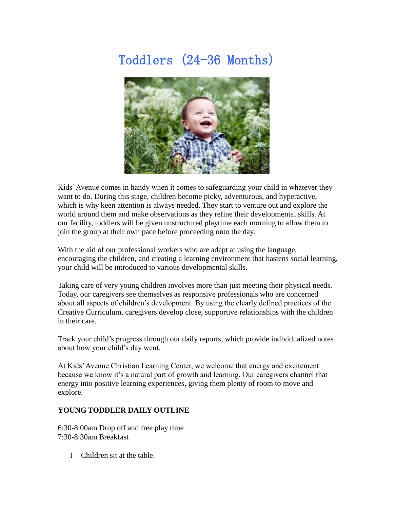## Toddlers (24-36 Months)



Kids' Avenue comes in handy when it comes to safeguarding your child in whatever they want to do. During this stage, children become picky, adventurous, and hyperactive, which is why keen attention is always needed. They start to venture out and explore the world around them and make observations as they refine their developmental skills. At our facility, toddlers will be given unstructured playtime each morning to allow them to join the group at their own pace before proceeding onto the day.

With the aid of our professional workers who are adept at using the language, encouraging the children, and creating a learning environment that hastens social learning, your child will be introduced to various developmental skills.

Taking care of very young children involves more than just meeting their physical needs. Today, our caregivers see themselves as responsive professionals who are concerned about all aspects of children's development. By using the clearly defined practices of the Creative Curriculum, caregivers develop close, supportive relationships with the children in their care.

Track your child's progress through our daily reports, which provide individualized notes about how your child's day went.

At Kids' Avenue Christian Learning Center, we welcome that energy and excitement because we know it's a natural part of growth and learning. Our caregivers channel that energy into positive learning experiences, giving them plenty of room to move and explore.

## **YOUNG TODDLER DAILY OUTLINE**

6:30-8:00am Drop off and free play time 7:30-8:30am Breakfast

Children sit at the table.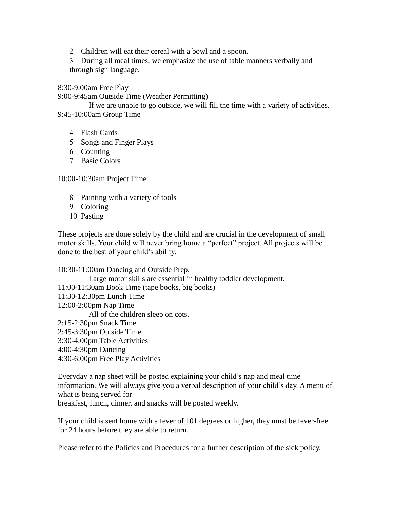2 Children will eat their cereal with a bowl and a spoon.

 During all meal times, we emphasize the use of table manners verbally and through sign language.

8:30-9:00am Free Play

9:00-9:45am Outside Time (Weather Permitting)

 If we are unable to go outside, we will fill the time with a variety of activities. 9:45-10:00am Group Time

- Flash Cards
- 5 Songs and Finger Plays
- Counting
- Basic Colors

10:00-10:30am Project Time

- Painting with a variety of tools
- 9 Coloring
- 10 Pasting

These projects are done solely by the child and are crucial in the development of small motor skills. Your child will never bring home a "perfect" project. All projects will be done to the best of your child's ability.

10:30-11:00am Dancing and Outside Prep.

Large motor skills are essential in healthy toddler development.

11:00-11:30am Book Time (tape books, big books)

- 11:30-12:30pm Lunch Time
- 12:00-2:00pm Nap Time

All of the children sleep on cots.

2:15-2:30pm Snack Time

- 2:45-3:30pm Outside Time
- 3:30-4:00pm Table Activities
- 4:00-4:30pm Dancing
- 4:30-6:00pm Free Play Activities

Everyday a nap sheet will be posted explaining your child's nap and meal time information. We will always give you a verbal description of your child's day. A menu of what is being served for

breakfast, lunch, dinner, and snacks will be posted weekly.

If your child is sent home with a fever of 101 degrees or higher, they must be fever-free for 24 hours before they are able to return.

Please refer to the Policies and Procedures for a further description of the sick policy.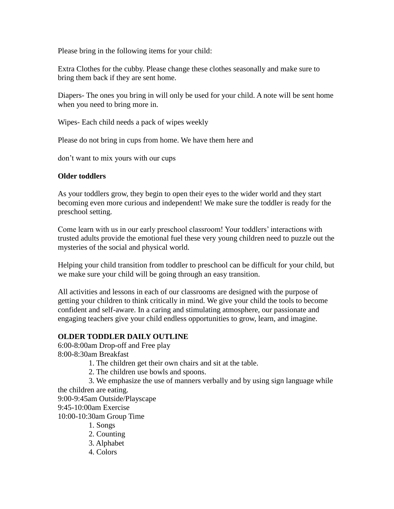Please bring in the following items for your child:

Extra Clothes for the cubby. Please change these clothes seasonally and make sure to bring them back if they are sent home.

Diapers- The ones you bring in will only be used for your child. A note will be sent home when you need to bring more in.

Wipes- Each child needs a pack of wipes weekly

Please do not bring in cups from home. We have them here and

don't want to mix yours with our cups

## **Older toddlers**

As your toddlers grow, they begin to open their eyes to the wider world and they start becoming even more curious and independent! We make sure the toddler is ready for the preschool setting.

Come learn with us in our early preschool classroom! Your toddlers' interactions with trusted adults provide the emotional fuel these very young children need to puzzle out the mysteries of the social and physical world.

Helping your child transition from toddler to preschool can be difficult for your child, but we make sure your child will be going through an easy transition.

All activities and lessons in each of our classrooms are designed with the purpose of getting your children to think critically in mind. We give your child the tools to become confident and self-aware. In a caring and stimulating atmosphere, our passionate and engaging teachers give your child endless opportunities to grow, learn, and imagine.

## **OLDER TODDLER DAILY OUTLINE**

6:00-8:00am Drop-off and Free play 8:00-8:30am Breakfast

1. The children get their own chairs and sit at the table.

2. The children use bowls and spoons.

3. We emphasize the use of manners verbally and by using sign language while

the children are eating. 9:00-9:45am Outside/Playscape

9:45-10:00am Exercise

10:00-10:30am Group Time

1. Songs

- 2. Counting
- 3. Alphabet
- 4. Colors